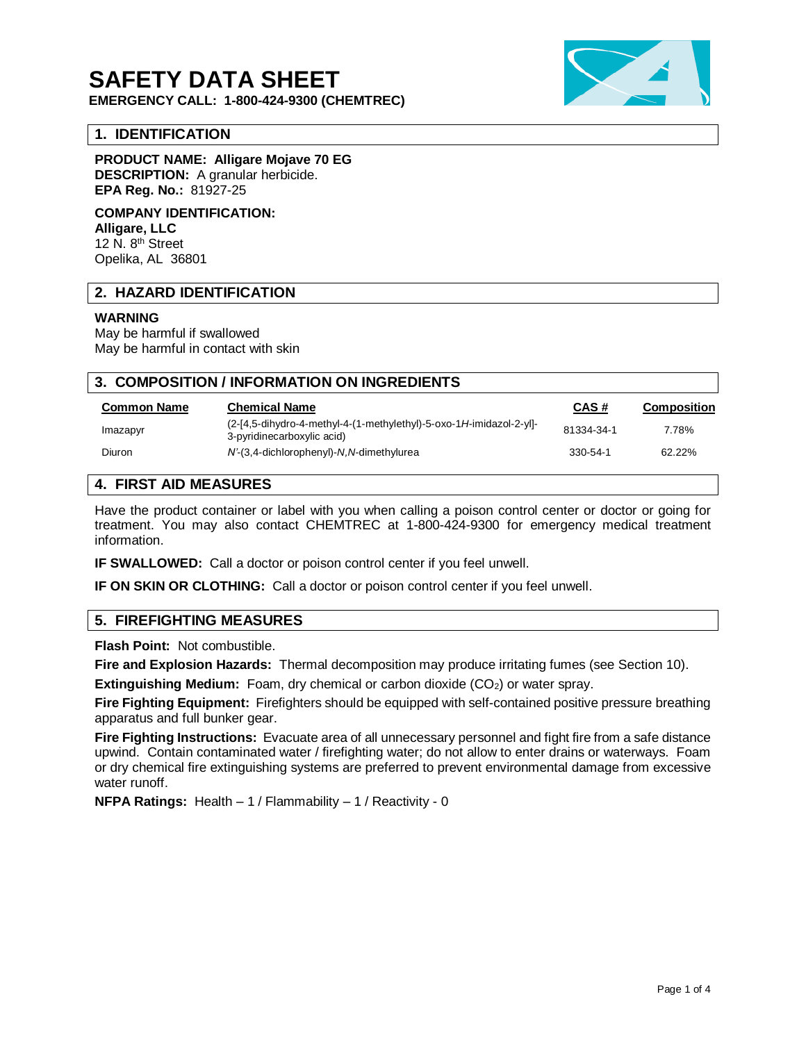# **SAFETY DATA SHEET**

**EMERGENCY CALL: 1-800-424-9300 (CHEMTREC)**

## **1. IDENTIFICATION**

**PRODUCT NAME: Alligare Mojave 70 EG DESCRIPTION:** A granular herbicide. **EPA Reg. No.:** 81927-25

**COMPANY IDENTIFICATION: Alligare, LLC** 12 N. 8<sup>th</sup> Street Opelika, AL 36801

## **2. HAZARD IDENTIFICATION**

## **WARNING**

May be harmful if swallowed May be harmful in contact with skin

| 3. COMPOSITION / INFORMATION ON INGREDIENTS |                                                                                                   |                |                    |
|---------------------------------------------|---------------------------------------------------------------------------------------------------|----------------|--------------------|
| <b>Common Name</b>                          | <b>Chemical Name</b>                                                                              | CAS#           | <b>Composition</b> |
| Imazapyr                                    | (2-[4,5-dihydro-4-methyl-4-(1-methylethyl)-5-oxo-1H-imidazol-2-yl]-<br>3-pyridinecarboxylic acid) | 81334-34-1     | 7.78%              |
| Diuron                                      | N'-(3,4-dichlorophenyl)-N,N-dimethylurea                                                          | $330 - 54 - 1$ | 62.22%             |
|                                             |                                                                                                   |                |                    |

# **4. FIRST AID MEASURES**

Have the product container or label with you when calling a poison control center or doctor or going for treatment. You may also contact CHEMTREC at 1-800-424-9300 for emergency medical treatment information.

**IF SWALLOWED:** Call a doctor or poison control center if you feel unwell.

**IF ON SKIN OR CLOTHING:** Call a doctor or poison control center if you feel unwell.

## **5. FIREFIGHTING MEASURES**

**Flash Point:** Not combustible.

**Fire and Explosion Hazards:** Thermal decomposition may produce irritating fumes (see Section 10).

**Extinguishing Medium:** Foam, dry chemical or carbon dioxide (CO<sub>2</sub>) or water spray.

**Fire Fighting Equipment:** Firefighters should be equipped with self-contained positive pressure breathing apparatus and full bunker gear.

**Fire Fighting Instructions:** Evacuate area of all unnecessary personnel and fight fire from a safe distance upwind. Contain contaminated water / firefighting water; do not allow to enter drains or waterways. Foam or dry chemical fire extinguishing systems are preferred to prevent environmental damage from excessive water runoff.

**NFPA Ratings:** Health – 1 / Flammability – 1 / Reactivity - 0

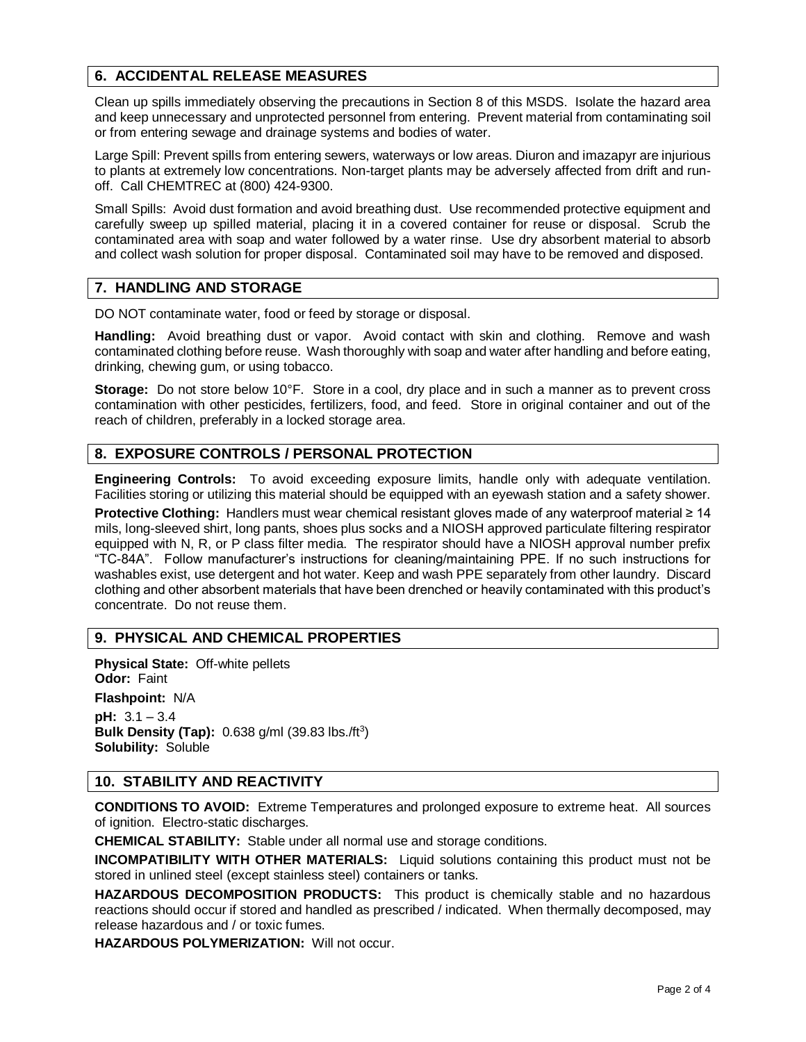# **6. ACCIDENTAL RELEASE MEASURES**

Clean up spills immediately observing the precautions in Section 8 of this MSDS. Isolate the hazard area and keep unnecessary and unprotected personnel from entering. Prevent material from contaminating soil or from entering sewage and drainage systems and bodies of water.

Large Spill: Prevent spills from entering sewers, waterways or low areas. Diuron and imazapyr are injurious to plants at extremely low concentrations. Non-target plants may be adversely affected from drift and runoff. Call CHEMTREC at (800) 424-9300.

Small Spills: Avoid dust formation and avoid breathing dust. Use recommended protective equipment and carefully sweep up spilled material, placing it in a covered container for reuse or disposal. Scrub the contaminated area with soap and water followed by a water rinse. Use dry absorbent material to absorb and collect wash solution for proper disposal. Contaminated soil may have to be removed and disposed.

## **7. HANDLING AND STORAGE**

DO NOT contaminate water, food or feed by storage or disposal.

**Handling:** Avoid breathing dust or vapor. Avoid contact with skin and clothing. Remove and wash contaminated clothing before reuse. Wash thoroughly with soap and water after handling and before eating, drinking, chewing gum, or using tobacco.

**Storage:** Do not store below 10°F. Store in a cool, dry place and in such a manner as to prevent cross contamination with other pesticides, fertilizers, food, and feed. Store in original container and out of the reach of children, preferably in a locked storage area.

# **8. EXPOSURE CONTROLS / PERSONAL PROTECTION**

**Engineering Controls:** To avoid exceeding exposure limits, handle only with adequate ventilation. Facilities storing or utilizing this material should be equipped with an eyewash station and a safety shower.

**Protective Clothing:** Handlers must wear chemical resistant gloves made of any waterproof material ≥ 14 mils, long-sleeved shirt, long pants, shoes plus socks and a NIOSH approved particulate filtering respirator equipped with N, R, or P class filter media. The respirator should have a NIOSH approval number prefix "TC-84A". Follow manufacturer's instructions for cleaning/maintaining PPE. If no such instructions for washables exist, use detergent and hot water. Keep and wash PPE separately from other laundry. Discard clothing and other absorbent materials that have been drenched or heavily contaminated with this product's concentrate. Do not reuse them.

# **9. PHYSICAL AND CHEMICAL PROPERTIES**

**Physical State:** Off-white pellets **Odor:** Faint **Flashpoint:** N/A **pH:** 3.1 – 3.4 **Bulk Density (Tap):** 0.638 g/ml (39.83 lbs./ft<sup>3</sup>) **Solubility:** Soluble

## **10. STABILITY AND REACTIVITY**

**CONDITIONS TO AVOID:** Extreme Temperatures and prolonged exposure to extreme heat. All sources of ignition. Electro-static discharges.

**CHEMICAL STABILITY:** Stable under all normal use and storage conditions.

**INCOMPATIBILITY WITH OTHER MATERIALS:** Liquid solutions containing this product must not be stored in unlined steel (except stainless steel) containers or tanks.

**HAZARDOUS DECOMPOSITION PRODUCTS:** This product is chemically stable and no hazardous reactions should occur if stored and handled as prescribed / indicated. When thermally decomposed, may release hazardous and / or toxic fumes.

**HAZARDOUS POLYMERIZATION:** Will not occur.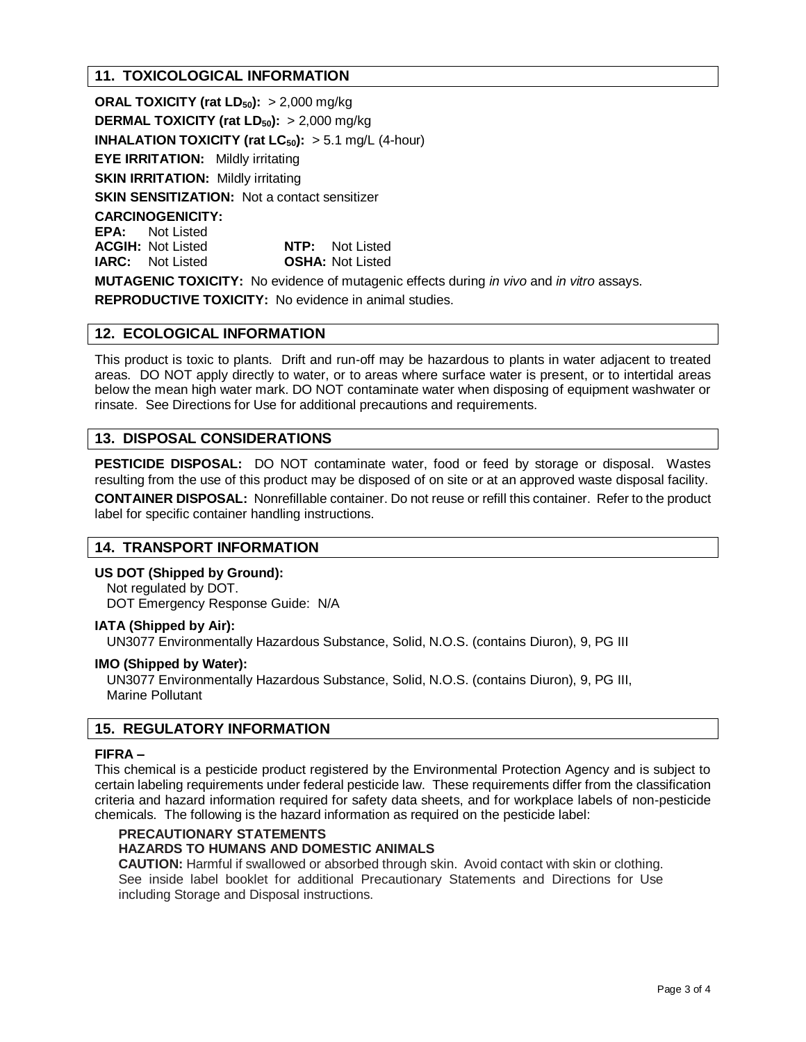# **11. TOXICOLOGICAL INFORMATION**

**ORAL TOXICITY (rat LD50):** > 2,000 mg/kg **DERMAL TOXICITY (rat LD50):** > 2,000 mg/kg **INHALATION TOXICITY (rat**  $LC_{50}$ **):**  $> 5.1$  mg/L (4-hour) **EYE IRRITATION:** Mildly irritating **SKIN IRRITATION: Mildly irritating SKIN SENSITIZATION:** Not a contact sensitizer **CARCINOGENICITY: EPA:** Not Listed **ACGIH:** Not Listed **NTP:** Not Listed **IARC:** Not Listed **OSHA:** Not Listed **MUTAGENIC TOXICITY:** No evidence of mutagenic effects during *in vivo* and *in vitro* assays.

**REPRODUCTIVE TOXICITY:** No evidence in animal studies.

# **12. ECOLOGICAL INFORMATION**

This product is toxic to plants. Drift and run-off may be hazardous to plants in water adjacent to treated areas. DO NOT apply directly to water, or to areas where surface water is present, or to intertidal areas below the mean high water mark. DO NOT contaminate water when disposing of equipment washwater or rinsate. See Directions for Use for additional precautions and requirements.

## **13. DISPOSAL CONSIDERATIONS**

**PESTICIDE DISPOSAL:** DO NOT contaminate water, food or feed by storage or disposal. Wastes resulting from the use of this product may be disposed of on site or at an approved waste disposal facility.

**CONTAINER DISPOSAL:** Nonrefillable container. Do not reuse or refill this container. Refer to the product label for specific container handling instructions.

## **14. TRANSPORT INFORMATION**

**US DOT (Shipped by Ground):**

Not regulated by DOT. DOT Emergency Response Guide: N/A

## **IATA (Shipped by Air):**

UN3077 Environmentally Hazardous Substance, Solid, N.O.S. (contains Diuron), 9, PG III

## **IMO (Shipped by Water):**

UN3077 Environmentally Hazardous Substance, Solid, N.O.S. (contains Diuron), 9, PG III, Marine Pollutant

## **15. REGULATORY INFORMATION**

## **FIFRA –**

This chemical is a pesticide product registered by the Environmental Protection Agency and is subject to certain labeling requirements under federal pesticide law. These requirements differ from the classification criteria and hazard information required for safety data sheets, and for workplace labels of non-pesticide chemicals. The following is the hazard information as required on the pesticide label:

## **PRECAUTIONARY STATEMENTS**

## **HAZARDS TO HUMANS AND DOMESTIC ANIMALS**

**CAUTION:** Harmful if swallowed or absorbed through skin. Avoid contact with skin or clothing. See inside label booklet for additional Precautionary Statements and Directions for Use including Storage and Disposal instructions.